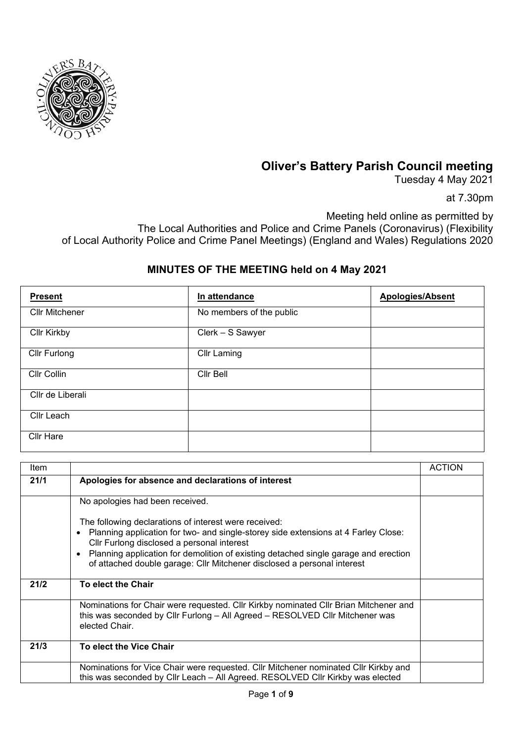

## **Oliver's Battery Parish Council meeting**

Tuesday 4 May 2021

at 7.30pm

Meeting held online as permitted by The Local Authorities and Police and Crime Panels (Coronavirus) (Flexibility of Local Authority Police and Crime Panel Meetings) (England and Wales) Regulations 2020

## **MINUTES OF THE MEETING held on 4 May 2021**

| <b>Present</b>        | In attendance            | <b>Apologies/Absent</b> |
|-----------------------|--------------------------|-------------------------|
| <b>Cllr Mitchener</b> | No members of the public |                         |
| <b>Cllr Kirkby</b>    | Clerk - S Sawyer         |                         |
| <b>Cllr Furlong</b>   | <b>Cllr Laming</b>       |                         |
| Cllr Collin           | Cllr Bell                |                         |
| Cllr de Liberali      |                          |                         |
| Cllr Leach            |                          |                         |
| Cllr Hare             |                          |                         |

| Item |                                                                                                                                                                                                                                                                                                                                                                                       | <b>ACTION</b> |
|------|---------------------------------------------------------------------------------------------------------------------------------------------------------------------------------------------------------------------------------------------------------------------------------------------------------------------------------------------------------------------------------------|---------------|
| 21/1 | Apologies for absence and declarations of interest                                                                                                                                                                                                                                                                                                                                    |               |
|      | No apologies had been received.                                                                                                                                                                                                                                                                                                                                                       |               |
|      | The following declarations of interest were received:<br>Planning application for two- and single-storey side extensions at 4 Farley Close:<br>$\bullet$<br>Cllr Furlong disclosed a personal interest<br>Planning application for demolition of existing detached single garage and erection<br>$\bullet$<br>of attached double garage: Cllr Mitchener disclosed a personal interest |               |
| 21/2 | To elect the Chair                                                                                                                                                                                                                                                                                                                                                                    |               |
|      | Nominations for Chair were requested. Cllr Kirkby nominated Cllr Brian Mitchener and<br>this was seconded by Cllr Furlong - All Agreed - RESOLVED Cllr Mitchener was<br>elected Chair.                                                                                                                                                                                                |               |
| 21/3 | To elect the Vice Chair                                                                                                                                                                                                                                                                                                                                                               |               |
|      | Nominations for Vice Chair were requested. Cllr Mitchener nominated Cllr Kirkby and<br>this was seconded by Cllr Leach - All Agreed. RESOLVED Cllr Kirkby was elected                                                                                                                                                                                                                 |               |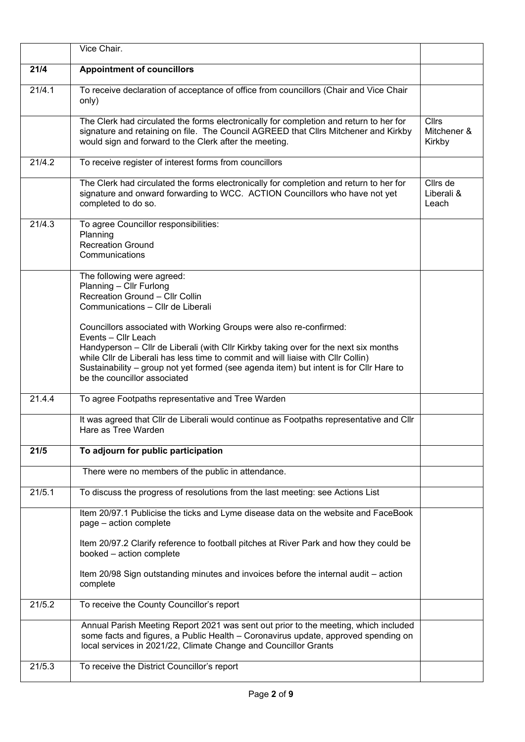|        | Vice Chair.                                                                                                                                                                                                                                                                                                                                                                                     |                                       |
|--------|-------------------------------------------------------------------------------------------------------------------------------------------------------------------------------------------------------------------------------------------------------------------------------------------------------------------------------------------------------------------------------------------------|---------------------------------------|
| 21/4   | <b>Appointment of councillors</b>                                                                                                                                                                                                                                                                                                                                                               |                                       |
| 21/4.1 | To receive declaration of acceptance of office from councillors (Chair and Vice Chair<br>only)                                                                                                                                                                                                                                                                                                  |                                       |
|        | The Clerk had circulated the forms electronically for completion and return to her for<br>signature and retaining on file. The Council AGREED that Cllrs Mitchener and Kirkby<br>would sign and forward to the Clerk after the meeting.                                                                                                                                                         | <b>Cllrs</b><br>Mitchener &<br>Kirkby |
| 21/4.2 | To receive register of interest forms from councillors                                                                                                                                                                                                                                                                                                                                          |                                       |
|        | The Clerk had circulated the forms electronically for completion and return to her for<br>signature and onward forwarding to WCC. ACTION Councillors who have not yet<br>completed to do so.                                                                                                                                                                                                    | Cllrs de<br>Liberali &<br>Leach       |
| 21/4.3 | To agree Councillor responsibilities:<br>Planning<br><b>Recreation Ground</b><br>Communications                                                                                                                                                                                                                                                                                                 |                                       |
|        | The following were agreed:<br>Planning - Cllr Furlong<br>Recreation Ground - Cllr Collin<br>Communications - Cllr de Liberali                                                                                                                                                                                                                                                                   |                                       |
|        | Councillors associated with Working Groups were also re-confirmed:<br>Events - Cllr Leach<br>Handyperson - Cllr de Liberali (with Cllr Kirkby taking over for the next six months<br>while CIIr de Liberali has less time to commit and will liaise with CIIr Collin)<br>Sustainability - group not yet formed (see agenda item) but intent is for Cllr Hare to<br>be the councillor associated |                                       |
| 21.4.4 | To agree Footpaths representative and Tree Warden                                                                                                                                                                                                                                                                                                                                               |                                       |
|        | It was agreed that Cllr de Liberali would continue as Footpaths representative and Cllr<br>Hare as Tree Warden                                                                                                                                                                                                                                                                                  |                                       |
| 21/5   | To adjourn for public participation                                                                                                                                                                                                                                                                                                                                                             |                                       |
|        | There were no members of the public in attendance.                                                                                                                                                                                                                                                                                                                                              |                                       |
| 21/5.1 | To discuss the progress of resolutions from the last meeting: see Actions List                                                                                                                                                                                                                                                                                                                  |                                       |
|        | Item 20/97.1 Publicise the ticks and Lyme disease data on the website and FaceBook<br>page - action complete                                                                                                                                                                                                                                                                                    |                                       |
|        | Item 20/97.2 Clarify reference to football pitches at River Park and how they could be<br>booked - action complete                                                                                                                                                                                                                                                                              |                                       |
|        | Item 20/98 Sign outstanding minutes and invoices before the internal audit - action<br>complete                                                                                                                                                                                                                                                                                                 |                                       |
| 21/5.2 | To receive the County Councillor's report                                                                                                                                                                                                                                                                                                                                                       |                                       |
|        | Annual Parish Meeting Report 2021 was sent out prior to the meeting, which included<br>some facts and figures, a Public Health - Coronavirus update, approved spending on<br>local services in 2021/22, Climate Change and Councillor Grants                                                                                                                                                    |                                       |
| 21/5.3 | To receive the District Councillor's report                                                                                                                                                                                                                                                                                                                                                     |                                       |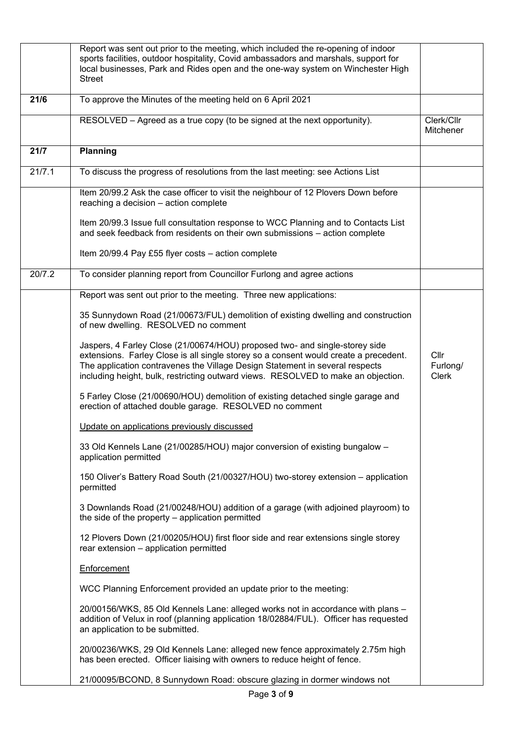|        | Report was sent out prior to the meeting, which included the re-opening of indoor<br>sports facilities, outdoor hospitality, Covid ambassadors and marshals, support for<br>local businesses, Park and Rides open and the one-way system on Winchester High<br><b>Street</b>                                                             |                                             |
|--------|------------------------------------------------------------------------------------------------------------------------------------------------------------------------------------------------------------------------------------------------------------------------------------------------------------------------------------------|---------------------------------------------|
| 21/6   | To approve the Minutes of the meeting held on 6 April 2021                                                                                                                                                                                                                                                                               |                                             |
|        | RESOLVED - Agreed as a true copy (to be signed at the next opportunity).                                                                                                                                                                                                                                                                 | Clerk/Cllr<br>Mitchener                     |
| 21/7   | <b>Planning</b>                                                                                                                                                                                                                                                                                                                          |                                             |
| 21/7.1 | To discuss the progress of resolutions from the last meeting: see Actions List                                                                                                                                                                                                                                                           |                                             |
|        | Item 20/99.2 Ask the case officer to visit the neighbour of 12 Plovers Down before<br>reaching a decision - action complete                                                                                                                                                                                                              |                                             |
|        | Item 20/99.3 Issue full consultation response to WCC Planning and to Contacts List<br>and seek feedback from residents on their own submissions - action complete                                                                                                                                                                        |                                             |
|        | Item 20/99.4 Pay £55 flyer costs - action complete                                                                                                                                                                                                                                                                                       |                                             |
| 20/7.2 | To consider planning report from Councillor Furlong and agree actions                                                                                                                                                                                                                                                                    |                                             |
|        | Report was sent out prior to the meeting. Three new applications:                                                                                                                                                                                                                                                                        |                                             |
|        | 35 Sunnydown Road (21/00673/FUL) demolition of existing dwelling and construction<br>of new dwelling. RESOLVED no comment                                                                                                                                                                                                                |                                             |
|        | Jaspers, 4 Farley Close (21/00674/HOU) proposed two- and single-storey side<br>extensions. Farley Close is all single storey so a consent would create a precedent.<br>The application contravenes the Village Design Statement in several respects<br>including height, bulk, restricting outward views. RESOLVED to make an objection. | Cl <sub>l</sub><br>Furlong/<br><b>Clerk</b> |
|        | 5 Farley Close (21/00690/HOU) demolition of existing detached single garage and<br>erection of attached double garage. RESOLVED no comment                                                                                                                                                                                               |                                             |
|        | Update on applications previously discussed                                                                                                                                                                                                                                                                                              |                                             |
|        | 33 Old Kennels Lane (21/00285/HOU) major conversion of existing bungalow -<br>application permitted                                                                                                                                                                                                                                      |                                             |
|        | 150 Oliver's Battery Road South (21/00327/HOU) two-storey extension - application<br>permitted                                                                                                                                                                                                                                           |                                             |
|        | 3 Downlands Road (21/00248/HOU) addition of a garage (with adjoined playroom) to<br>the side of the property – application permitted                                                                                                                                                                                                     |                                             |
|        | 12 Plovers Down (21/00205/HOU) first floor side and rear extensions single storey<br>rear extension - application permitted                                                                                                                                                                                                              |                                             |
|        | Enforcement                                                                                                                                                                                                                                                                                                                              |                                             |
|        | WCC Planning Enforcement provided an update prior to the meeting:                                                                                                                                                                                                                                                                        |                                             |
|        | 20/00156/WKS, 85 Old Kennels Lane: alleged works not in accordance with plans -<br>addition of Velux in roof (planning application 18/02884/FUL). Officer has requested<br>an application to be submitted.                                                                                                                               |                                             |
|        | 20/00236/WKS, 29 Old Kennels Lane: alleged new fence approximately 2.75m high<br>has been erected. Officer liaising with owners to reduce height of fence.                                                                                                                                                                               |                                             |
|        | 21/00095/BCOND, 8 Sunnydown Road: obscure glazing in dormer windows not                                                                                                                                                                                                                                                                  |                                             |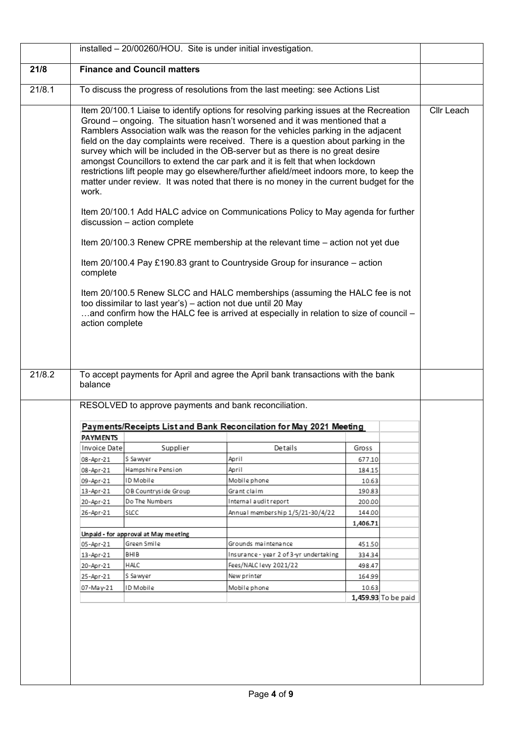|        |                                                                                |                                      | installed - 20/00260/HOU. Site is under initial investigation.                                                                                                                                                                                                                                                                                                                                                                                                                                                                                                                                                                                                                                            |                  |                     |            |
|--------|--------------------------------------------------------------------------------|--------------------------------------|-----------------------------------------------------------------------------------------------------------------------------------------------------------------------------------------------------------------------------------------------------------------------------------------------------------------------------------------------------------------------------------------------------------------------------------------------------------------------------------------------------------------------------------------------------------------------------------------------------------------------------------------------------------------------------------------------------------|------------------|---------------------|------------|
| 21/8   |                                                                                | <b>Finance and Council matters</b>   |                                                                                                                                                                                                                                                                                                                                                                                                                                                                                                                                                                                                                                                                                                           |                  |                     |            |
| 21/8.1 | To discuss the progress of resolutions from the last meeting: see Actions List |                                      |                                                                                                                                                                                                                                                                                                                                                                                                                                                                                                                                                                                                                                                                                                           |                  |                     |            |
|        | work.                                                                          |                                      | Item 20/100.1 Liaise to identify options for resolving parking issues at the Recreation<br>Ground - ongoing. The situation hasn't worsened and it was mentioned that a<br>Ramblers Association walk was the reason for the vehicles parking in the adjacent<br>field on the day complaints were received. There is a question about parking in the<br>survey which will be included in the OB-server but as there is no great desire<br>amongst Councillors to extend the car park and it is felt that when lockdown<br>restrictions lift people may go elsewhere/further afield/meet indoors more, to keep the<br>matter under review. It was noted that there is no money in the current budget for the |                  |                     | Cllr Leach |
|        |                                                                                | discussion - action complete         | Item 20/100.1 Add HALC advice on Communications Policy to May agenda for further                                                                                                                                                                                                                                                                                                                                                                                                                                                                                                                                                                                                                          |                  |                     |            |
|        |                                                                                |                                      | Item 20/100.3 Renew CPRE membership at the relevant time - action not yet due                                                                                                                                                                                                                                                                                                                                                                                                                                                                                                                                                                                                                             |                  |                     |            |
|        | complete                                                                       |                                      | Item 20/100.4 Pay £190.83 grant to Countryside Group for insurance – action                                                                                                                                                                                                                                                                                                                                                                                                                                                                                                                                                                                                                               |                  |                     |            |
|        | action complete                                                                |                                      | Item 20/100.5 Renew SLCC and HALC memberships (assuming the HALC fee is not<br>too dissimilar to last year's) - action not due until 20 May<br>and confirm how the HALC fee is arrived at especially in relation to size of council -                                                                                                                                                                                                                                                                                                                                                                                                                                                                     |                  |                     |            |
| 21/8.2 | balance                                                                        |                                      | To accept payments for April and agree the April bank transactions with the bank                                                                                                                                                                                                                                                                                                                                                                                                                                                                                                                                                                                                                          |                  |                     |            |
|        |                                                                                |                                      | RESOLVED to approve payments and bank reconciliation.                                                                                                                                                                                                                                                                                                                                                                                                                                                                                                                                                                                                                                                     |                  |                     |            |
|        |                                                                                |                                      | Payments/Receipts List and Bank Reconcilation for May 2021 Meeting                                                                                                                                                                                                                                                                                                                                                                                                                                                                                                                                                                                                                                        |                  |                     |            |
|        | <b>PAYMENTS</b>                                                                |                                      |                                                                                                                                                                                                                                                                                                                                                                                                                                                                                                                                                                                                                                                                                                           |                  |                     |            |
|        | Invoice Date                                                                   | Supplier                             | Details                                                                                                                                                                                                                                                                                                                                                                                                                                                                                                                                                                                                                                                                                                   | Gross            |                     |            |
|        | 08-Apr-21                                                                      | S Sawyer                             | April                                                                                                                                                                                                                                                                                                                                                                                                                                                                                                                                                                                                                                                                                                     | 677.10           |                     |            |
|        | 08-Apr-21                                                                      | Hampshire Pension                    | April                                                                                                                                                                                                                                                                                                                                                                                                                                                                                                                                                                                                                                                                                                     | 184.15           |                     |            |
|        | 09-Apr-21                                                                      | ID Mobile                            | Mobile phone                                                                                                                                                                                                                                                                                                                                                                                                                                                                                                                                                                                                                                                                                              | 10.63            |                     |            |
|        | 13-Apr-21                                                                      | OB Countryside Group                 | Grant claim                                                                                                                                                                                                                                                                                                                                                                                                                                                                                                                                                                                                                                                                                               | 190.83           |                     |            |
|        | 20-Apr-21                                                                      | Do The Numbers                       | Internal audit report                                                                                                                                                                                                                                                                                                                                                                                                                                                                                                                                                                                                                                                                                     | 200.00<br>144.00 |                     |            |
|        | 26-Apr-21                                                                      | SLCC                                 | Annual membership 1/5/21-30/4/22                                                                                                                                                                                                                                                                                                                                                                                                                                                                                                                                                                                                                                                                          | 1,406.71         |                     |            |
|        |                                                                                | Unpaid - for approval at May meeting |                                                                                                                                                                                                                                                                                                                                                                                                                                                                                                                                                                                                                                                                                                           |                  |                     |            |
|        | 05-Apr-21                                                                      | Green Smile                          | Grounds maintenance                                                                                                                                                                                                                                                                                                                                                                                                                                                                                                                                                                                                                                                                                       | 451.50           |                     |            |
|        | 13-Apr-21                                                                      | BHIB                                 | Insurance - year 2 of 3-yr undertaking                                                                                                                                                                                                                                                                                                                                                                                                                                                                                                                                                                                                                                                                    | 334.34           |                     |            |
|        | 20-Apr-21                                                                      | HALC                                 | Fees/NALC levy 2021/22                                                                                                                                                                                                                                                                                                                                                                                                                                                                                                                                                                                                                                                                                    | 498.47           |                     |            |
|        | 25-Apr-21                                                                      | S Sa wyer                            | New printer                                                                                                                                                                                                                                                                                                                                                                                                                                                                                                                                                                                                                                                                                               | 164.99           |                     |            |
|        | 07-May-21                                                                      | ID Mobile                            | Mobile phone                                                                                                                                                                                                                                                                                                                                                                                                                                                                                                                                                                                                                                                                                              | 10.63            |                     |            |
|        |                                                                                |                                      |                                                                                                                                                                                                                                                                                                                                                                                                                                                                                                                                                                                                                                                                                                           |                  | 1,459.93 To be paid |            |
|        |                                                                                |                                      |                                                                                                                                                                                                                                                                                                                                                                                                                                                                                                                                                                                                                                                                                                           |                  |                     |            |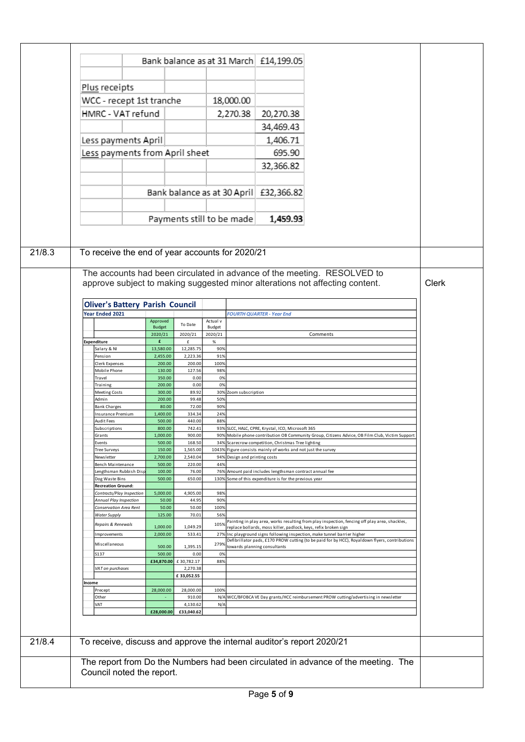|                                                  |                                                 |                                   |             |                               | Bank balance as at 31 March £14,199.05                                |                                                                                                                                                                             |              |
|--------------------------------------------------|-------------------------------------------------|-----------------------------------|-------------|-------------------------------|-----------------------------------------------------------------------|-----------------------------------------------------------------------------------------------------------------------------------------------------------------------------|--------------|
|                                                  |                                                 |                                   |             |                               |                                                                       |                                                                                                                                                                             |              |
| Plus receipts                                    |                                                 |                                   |             |                               |                                                                       |                                                                                                                                                                             |              |
|                                                  | WCC - recept 1st tranche                        |                                   |             | 18,000.00                     |                                                                       |                                                                                                                                                                             |              |
| HMRC - VAT refund                                |                                                 |                                   |             | 2,270.38                      | 20,270.38                                                             |                                                                                                                                                                             |              |
|                                                  |                                                 |                                   |             |                               | 34,469.43                                                             |                                                                                                                                                                             |              |
|                                                  | Less payments April                             |                                   |             |                               | 1,406.71                                                              |                                                                                                                                                                             |              |
|                                                  | Less payments from April sheet                  |                                   |             |                               | 695.90                                                                |                                                                                                                                                                             |              |
|                                                  |                                                 |                                   |             |                               | 32,366.82                                                             |                                                                                                                                                                             |              |
|                                                  |                                                 |                                   |             |                               |                                                                       |                                                                                                                                                                             |              |
|                                                  |                                                 |                                   |             |                               |                                                                       |                                                                                                                                                                             |              |
|                                                  |                                                 | Bank balance as at 30 April       |             |                               | £32,366.82                                                            |                                                                                                                                                                             |              |
|                                                  |                                                 |                                   |             |                               |                                                                       |                                                                                                                                                                             |              |
|                                                  |                                                 | Payments still to be made         |             |                               | 1,459.93                                                              |                                                                                                                                                                             |              |
|                                                  |                                                 |                                   |             |                               |                                                                       |                                                                                                                                                                             |              |
|                                                  |                                                 |                                   |             |                               |                                                                       |                                                                                                                                                                             |              |
|                                                  | To receive the end of year accounts for 2020/21 |                                   |             |                               |                                                                       |                                                                                                                                                                             |              |
|                                                  |                                                 |                                   |             |                               |                                                                       |                                                                                                                                                                             |              |
|                                                  |                                                 |                                   |             |                               |                                                                       |                                                                                                                                                                             |              |
|                                                  |                                                 |                                   |             |                               |                                                                       | The accounts had been circulated in advance of the meeting. RESOLVED to                                                                                                     |              |
|                                                  |                                                 |                                   |             |                               |                                                                       | approve subject to making suggested minor alterations not affecting content.                                                                                                | <b>Clerk</b> |
|                                                  |                                                 |                                   |             |                               |                                                                       |                                                                                                                                                                             |              |
|                                                  | <b>Oliver's Battery Parish Council</b>          |                                   |             |                               |                                                                       |                                                                                                                                                                             |              |
| Year Ended 2021                                  |                                                 |                                   |             |                               | <b>FOURTH QUARTER - Year End</b>                                      |                                                                                                                                                                             |              |
|                                                  | Approved                                        |                                   | Actual v    |                               |                                                                       |                                                                                                                                                                             |              |
|                                                  | <b>Budget</b>                                   | To Date                           | Budget      |                               |                                                                       |                                                                                                                                                                             |              |
|                                                  | 2020/21                                         | 2020/21                           | 2020/21     |                               |                                                                       | Comments                                                                                                                                                                    |              |
| <b>Expenditure</b>                               | £                                               | £                                 | $\%$        |                               |                                                                       |                                                                                                                                                                             |              |
| Salary & NI                                      | 13,580.00                                       | 12,285.75                         | 90%         |                               |                                                                       |                                                                                                                                                                             |              |
| Pension<br>Clerk Expenses                        | 2,455.00<br>200.00                              | 2,223.36<br>200.00                | 91%<br>100% |                               |                                                                       |                                                                                                                                                                             |              |
| Mobile Phone                                     | 130.00                                          | 127.56                            | 98%         |                               |                                                                       |                                                                                                                                                                             |              |
| Travel                                           | 350.00                                          | 0.00                              | 0%          |                               |                                                                       |                                                                                                                                                                             |              |
| Training                                         | 200.00                                          | 0.00                              | 0%          |                               |                                                                       |                                                                                                                                                                             |              |
| Meeting Costs                                    | 300.00                                          | 89.92                             |             | 30% Zoom subscription         |                                                                       |                                                                                                                                                                             |              |
| Admin<br><b>Bank Charges</b>                     | 200.00<br>80.00                                 | 99.48<br>72.00                    | 50%<br>90%  |                               |                                                                       |                                                                                                                                                                             |              |
| Insurance Premium                                | 1,400.00                                        | 334.34                            | 24%         |                               |                                                                       |                                                                                                                                                                             |              |
| Audit Fees                                       | 500.00                                          | 440.00                            | 88%         |                               |                                                                       |                                                                                                                                                                             |              |
| Subscriptions                                    | 800.00                                          | 742.41                            |             |                               | 93% SLCC, HALC, CPRE, Krystal, ICO, Microsoft 365                     |                                                                                                                                                                             |              |
| Grants                                           | 1,000.00                                        | 900.00                            |             |                               |                                                                       | 90% Mobile phone contribution OB Community Group, Citizens Advice, OB Film Club, Victim Support                                                                             |              |
| Events                                           | 500.00                                          | 168.50                            |             |                               | 34% Scarecrow competition, Christmas Tree lighting                    |                                                                                                                                                                             |              |
| Tree Surveys<br>Newsletter                       | 150.00<br>2,700.00                              | 1,565.00<br>2,540.04              |             | 94% Design and printing costs | 1043% Figure consists mainly of works and not just the survey         |                                                                                                                                                                             |              |
| Bench Maintenance                                | 500.00                                          | 220.00                            | 44%         |                               |                                                                       |                                                                                                                                                                             |              |
| Lengthsman Rubbish Dis                           | 100.00                                          | 76.00                             |             |                               | 76% Amount paid includes lengthsman contract annual fee               |                                                                                                                                                                             |              |
|                                                  | 500.00                                          | 650.00                            |             |                               | 130% Some of this expenditure is for the previous year                |                                                                                                                                                                             |              |
| Dog Waste Bins                                   |                                                 |                                   |             |                               |                                                                       |                                                                                                                                                                             |              |
| <b>Recreation Ground:</b>                        |                                                 | 4,905.00<br>44.95                 | 98%<br>90%  |                               |                                                                       |                                                                                                                                                                             |              |
| Contracts/Play Inspection                        | 5,000.00                                        |                                   |             |                               |                                                                       |                                                                                                                                                                             |              |
| Annual Play Inspection<br>Conservation Area Rent | 50.00<br>50.00                                  | 50.00                             | 100%        |                               |                                                                       |                                                                                                                                                                             |              |
| Water Supply                                     | 125.00                                          | 70.01                             | 56%         |                               |                                                                       |                                                                                                                                                                             |              |
| Repairs & Renewals                               |                                                 |                                   | 105%        |                               |                                                                       | Painting in play area, works resulting from play inspection, fencing off play area, shackles,                                                                               |              |
| Improvements                                     | 1,000.00<br>2,000.00                            | 1,049.29<br>533.41                |             |                               | replace bollards, moss killer, padlock, keys, refix broken sign       |                                                                                                                                                                             |              |
|                                                  |                                                 |                                   |             |                               |                                                                       | 27% Inc playground signs following inspection, make tunnel barrier higher<br>Defibrillator pads, £170 PROW cutting (to be paid for by HCC), Royaldown flyers, contributions |              |
| Miscellaneous                                    | 500.00                                          | 1,395.15                          | 279%        |                               | towards planning consultants                                          |                                                                                                                                                                             |              |
| S137                                             | 500.00                                          | 0.00                              | 0%          |                               |                                                                       |                                                                                                                                                                             |              |
| VAT on purchases                                 |                                                 | £34,870.00 £30,782.17<br>2,270.38 | 88%         |                               |                                                                       |                                                                                                                                                                             |              |
|                                                  |                                                 | £33,052.55                        |             |                               |                                                                       |                                                                                                                                                                             |              |
| Income                                           |                                                 |                                   |             |                               |                                                                       |                                                                                                                                                                             |              |
| Precept                                          | 28,000.00                                       | 28,000.00                         | 100%        |                               |                                                                       |                                                                                                                                                                             |              |
| Other                                            |                                                 | 910.00                            |             |                               |                                                                       | N/A WCC/BFOBCA VE Day grants/HCC reimbursement PROW cutting/advertising in newsletter                                                                                       |              |
| VAT                                              |                                                 | 4,130.62                          | N/A         |                               |                                                                       |                                                                                                                                                                             |              |
|                                                  | £28,000.00                                      | £33,040.62                        |             |                               |                                                                       |                                                                                                                                                                             |              |
|                                                  |                                                 |                                   |             |                               |                                                                       |                                                                                                                                                                             |              |
|                                                  |                                                 |                                   |             |                               |                                                                       |                                                                                                                                                                             |              |
|                                                  |                                                 |                                   |             |                               | To receive, discuss and approve the internal auditor's report 2020/21 |                                                                                                                                                                             |              |
|                                                  |                                                 |                                   |             |                               |                                                                       |                                                                                                                                                                             |              |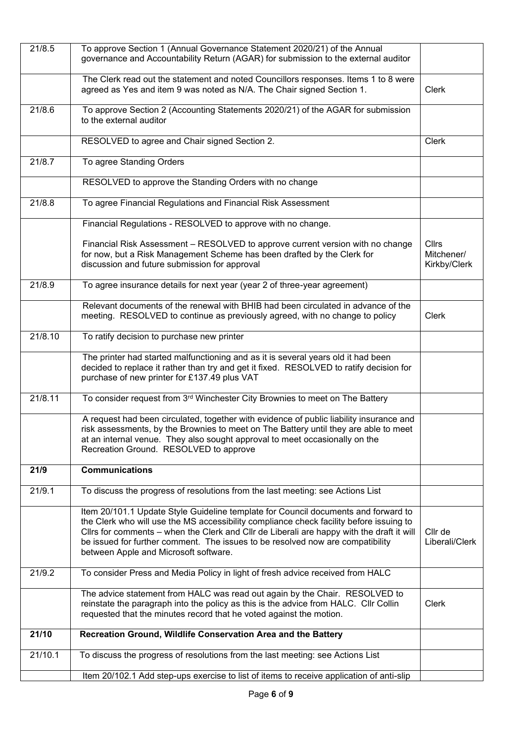| 21/8.5  | To approve Section 1 (Annual Governance Statement 2020/21) of the Annual<br>governance and Accountability Return (AGAR) for submission to the external auditor                                                                                                                                                                                                                                        |                                            |
|---------|-------------------------------------------------------------------------------------------------------------------------------------------------------------------------------------------------------------------------------------------------------------------------------------------------------------------------------------------------------------------------------------------------------|--------------------------------------------|
|         | The Clerk read out the statement and noted Councillors responses. Items 1 to 8 were<br>agreed as Yes and item 9 was noted as N/A. The Chair signed Section 1.                                                                                                                                                                                                                                         | <b>Clerk</b>                               |
| 21/8.6  | To approve Section 2 (Accounting Statements 2020/21) of the AGAR for submission<br>to the external auditor                                                                                                                                                                                                                                                                                            |                                            |
|         | RESOLVED to agree and Chair signed Section 2.                                                                                                                                                                                                                                                                                                                                                         | Clerk                                      |
| 21/8.7  | To agree Standing Orders                                                                                                                                                                                                                                                                                                                                                                              |                                            |
|         | RESOLVED to approve the Standing Orders with no change                                                                                                                                                                                                                                                                                                                                                |                                            |
| 21/8.8  | To agree Financial Regulations and Financial Risk Assessment                                                                                                                                                                                                                                                                                                                                          |                                            |
|         | Financial Regulations - RESOLVED to approve with no change.                                                                                                                                                                                                                                                                                                                                           |                                            |
|         | Financial Risk Assessment - RESOLVED to approve current version with no change<br>for now, but a Risk Management Scheme has been drafted by the Clerk for<br>discussion and future submission for approval                                                                                                                                                                                            | <b>Cllrs</b><br>Mitchener/<br>Kirkby/Clerk |
| 21/8.9  | To agree insurance details for next year (year 2 of three-year agreement)                                                                                                                                                                                                                                                                                                                             |                                            |
|         | Relevant documents of the renewal with BHIB had been circulated in advance of the<br>meeting. RESOLVED to continue as previously agreed, with no change to policy                                                                                                                                                                                                                                     | <b>Clerk</b>                               |
| 21/8.10 | To ratify decision to purchase new printer                                                                                                                                                                                                                                                                                                                                                            |                                            |
|         | The printer had started malfunctioning and as it is several years old it had been<br>decided to replace it rather than try and get it fixed. RESOLVED to ratify decision for<br>purchase of new printer for £137.49 plus VAT                                                                                                                                                                          |                                            |
| 21/8.11 | To consider request from 3rd Winchester City Brownies to meet on The Battery                                                                                                                                                                                                                                                                                                                          |                                            |
|         | A request had been circulated, together with evidence of public liability insurance and<br>risk assessments, by the Brownies to meet on The Battery until they are able to meet<br>at an internal venue. They also sought approval to meet occasionally on the<br>Recreation Ground. RESOLVED to approve                                                                                              |                                            |
| 21/9    | <b>Communications</b>                                                                                                                                                                                                                                                                                                                                                                                 |                                            |
| 21/9.1  | To discuss the progress of resolutions from the last meeting: see Actions List                                                                                                                                                                                                                                                                                                                        |                                            |
|         | Item 20/101.1 Update Style Guideline template for Council documents and forward to<br>the Clerk who will use the MS accessibility compliance check facility before issuing to<br>Cllrs for comments – when the Clerk and Cllr de Liberali are happy with the draft it will<br>be issued for further comment. The issues to be resolved now are compatibility<br>between Apple and Microsoft software. | Cllr de<br>Liberali/Clerk                  |
| 21/9.2  | To consider Press and Media Policy in light of fresh advice received from HALC                                                                                                                                                                                                                                                                                                                        |                                            |
|         | The advice statement from HALC was read out again by the Chair. RESOLVED to<br>reinstate the paragraph into the policy as this is the advice from HALC. Cllr Collin<br>requested that the minutes record that he voted against the motion.                                                                                                                                                            | Clerk                                      |
| 21/10   | Recreation Ground, Wildlife Conservation Area and the Battery                                                                                                                                                                                                                                                                                                                                         |                                            |
| 21/10.1 | To discuss the progress of resolutions from the last meeting: see Actions List                                                                                                                                                                                                                                                                                                                        |                                            |
|         | Item 20/102.1 Add step-ups exercise to list of items to receive application of anti-slip                                                                                                                                                                                                                                                                                                              |                                            |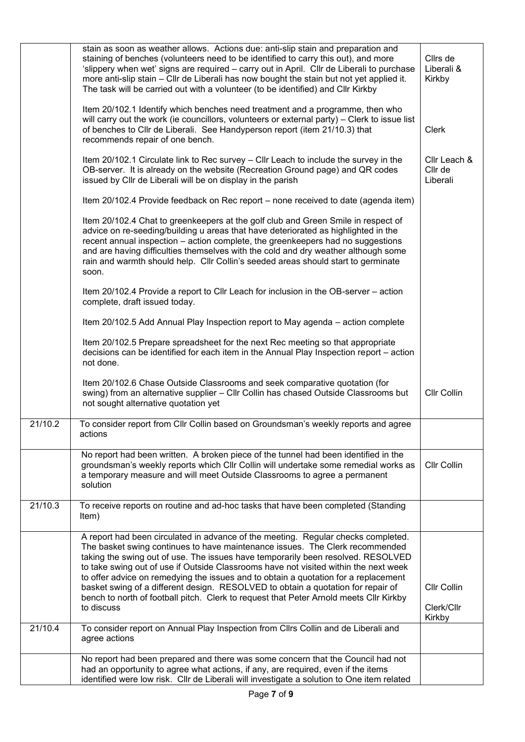|         | stain as soon as weather allows. Actions due: anti-slip stain and preparation and<br>staining of benches (volunteers need to be identified to carry this out), and more<br>'slippery when wet' signs are required - carry out in April. Cllr de Liberali to purchase<br>more anti-slip stain - Cllr de Liberali has now bought the stain but not yet applied it.<br>The task will be carried out with a volunteer (to be identified) and Cllr Kirkby                                                                                                                                                                             | Cllrs de<br>Liberali &<br>Kirkby    |
|---------|----------------------------------------------------------------------------------------------------------------------------------------------------------------------------------------------------------------------------------------------------------------------------------------------------------------------------------------------------------------------------------------------------------------------------------------------------------------------------------------------------------------------------------------------------------------------------------------------------------------------------------|-------------------------------------|
|         | Item 20/102.1 Identify which benches need treatment and a programme, then who<br>will carry out the work (ie councillors, volunteers or external party) - Clerk to issue list<br>of benches to Cllr de Liberali. See Handyperson report (item 21/10.3) that<br>recommends repair of one bench.                                                                                                                                                                                                                                                                                                                                   | Clerk                               |
|         | Item 20/102.1 Circulate link to Rec survey - Cllr Leach to include the survey in the<br>OB-server. It is already on the website (Recreation Ground page) and QR codes<br>issued by Cllr de Liberali will be on display in the parish                                                                                                                                                                                                                                                                                                                                                                                             | Cllr Leach &<br>Cllr de<br>Liberali |
|         | Item 20/102.4 Provide feedback on Rec report – none received to date (agenda item)                                                                                                                                                                                                                                                                                                                                                                                                                                                                                                                                               |                                     |
|         | Item 20/102.4 Chat to greenkeepers at the golf club and Green Smile in respect of<br>advice on re-seeding/building u areas that have deteriorated as highlighted in the<br>recent annual inspection – action complete, the greenkeepers had no suggestions<br>and are having difficulties themselves with the cold and dry weather although some<br>rain and warmth should help. Cllr Collin's seeded areas should start to germinate<br>soon.                                                                                                                                                                                   |                                     |
|         | Item 20/102.4 Provide a report to Cllr Leach for inclusion in the OB-server - action<br>complete, draft issued today.                                                                                                                                                                                                                                                                                                                                                                                                                                                                                                            |                                     |
|         | Item 20/102.5 Add Annual Play Inspection report to May agenda – action complete                                                                                                                                                                                                                                                                                                                                                                                                                                                                                                                                                  |                                     |
|         | Item 20/102.5 Prepare spreadsheet for the next Rec meeting so that appropriate<br>decisions can be identified for each item in the Annual Play Inspection report – action<br>not done.                                                                                                                                                                                                                                                                                                                                                                                                                                           |                                     |
|         | Item 20/102.6 Chase Outside Classrooms and seek comparative quotation (for<br>swing) from an alternative supplier - Cllr Collin has chased Outside Classrooms but<br>not sought alternative quotation yet                                                                                                                                                                                                                                                                                                                                                                                                                        | Cllr Collin                         |
| 21/10.2 | To consider report from Cllr Collin based on Groundsman's weekly reports and agree<br>actions                                                                                                                                                                                                                                                                                                                                                                                                                                                                                                                                    |                                     |
|         | No report had been written. A broken piece of the tunnel had been identified in the<br>groundsman's weekly reports which Cllr Collin will undertake some remedial works as<br>a temporary measure and will meet Outside Classrooms to agree a permanent<br>solution                                                                                                                                                                                                                                                                                                                                                              | Cllr Collin                         |
| 21/10.3 | To receive reports on routine and ad-hoc tasks that have been completed (Standing<br>Item)                                                                                                                                                                                                                                                                                                                                                                                                                                                                                                                                       |                                     |
|         | A report had been circulated in advance of the meeting. Regular checks completed.<br>The basket swing continues to have maintenance issues. The Clerk recommended<br>taking the swing out of use. The issues have temporarily been resolved. RESOLVED<br>to take swing out of use if Outside Classrooms have not visited within the next week<br>to offer advice on remedying the issues and to obtain a quotation for a replacement<br>basket swing of a different design. RESOLVED to obtain a quotation for repair of<br>bench to north of football pitch. Clerk to request that Peter Arnold meets Cllr Kirkby<br>to discuss | Cllr Collin<br>Clerk/Cllr<br>Kirkby |
| 21/10.4 | To consider report on Annual Play Inspection from Cllrs Collin and de Liberali and<br>agree actions                                                                                                                                                                                                                                                                                                                                                                                                                                                                                                                              |                                     |
|         | No report had been prepared and there was some concern that the Council had not<br>had an opportunity to agree what actions, if any, are required, even if the items<br>identified were low risk. Cllr de Liberali will investigate a solution to One item related                                                                                                                                                                                                                                                                                                                                                               |                                     |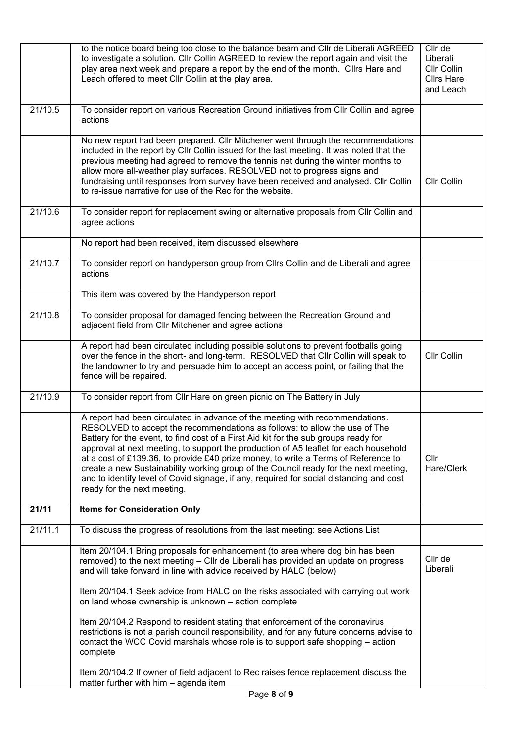|         | to the notice board being too close to the balance beam and Cllr de Liberali AGREED<br>to investigate a solution. Cllr Collin AGREED to review the report again and visit the<br>play area next week and prepare a report by the end of the month. Clirs Hare and<br>Leach offered to meet Cllr Collin at the play area.                                                                                                                                                                                                                                                                                                                          | Cllr de<br>Liberali<br>Cllr Collin<br><b>Cllrs Hare</b><br>and Leach |
|---------|---------------------------------------------------------------------------------------------------------------------------------------------------------------------------------------------------------------------------------------------------------------------------------------------------------------------------------------------------------------------------------------------------------------------------------------------------------------------------------------------------------------------------------------------------------------------------------------------------------------------------------------------------|----------------------------------------------------------------------|
| 21/10.5 | To consider report on various Recreation Ground initiatives from Cllr Collin and agree<br>actions                                                                                                                                                                                                                                                                                                                                                                                                                                                                                                                                                 |                                                                      |
|         | No new report had been prepared. Cllr Mitchener went through the recommendations<br>included in the report by Cllr Collin issued for the last meeting. It was noted that the<br>previous meeting had agreed to remove the tennis net during the winter months to<br>allow more all-weather play surfaces. RESOLVED not to progress signs and<br>fundraising until responses from survey have been received and analysed. Cllr Collin<br>to re-issue narrative for use of the Rec for the website.                                                                                                                                                 | Cllr Collin                                                          |
| 21/10.6 | To consider report for replacement swing or alternative proposals from Cllr Collin and<br>agree actions                                                                                                                                                                                                                                                                                                                                                                                                                                                                                                                                           |                                                                      |
|         | No report had been received, item discussed elsewhere                                                                                                                                                                                                                                                                                                                                                                                                                                                                                                                                                                                             |                                                                      |
| 21/10.7 | To consider report on handyperson group from Cllrs Collin and de Liberali and agree<br>actions                                                                                                                                                                                                                                                                                                                                                                                                                                                                                                                                                    |                                                                      |
|         | This item was covered by the Handyperson report                                                                                                                                                                                                                                                                                                                                                                                                                                                                                                                                                                                                   |                                                                      |
| 21/10.8 | To consider proposal for damaged fencing between the Recreation Ground and<br>adjacent field from Cllr Mitchener and agree actions                                                                                                                                                                                                                                                                                                                                                                                                                                                                                                                |                                                                      |
|         | A report had been circulated including possible solutions to prevent footballs going<br>over the fence in the short- and long-term. RESOLVED that Cllr Collin will speak to<br>the landowner to try and persuade him to accept an access point, or failing that the<br>fence will be repaired.                                                                                                                                                                                                                                                                                                                                                    | Cllr Collin                                                          |
| 21/10.9 | To consider report from Cllr Hare on green picnic on The Battery in July                                                                                                                                                                                                                                                                                                                                                                                                                                                                                                                                                                          |                                                                      |
|         | A report had been circulated in advance of the meeting with recommendations.<br>RESOLVED to accept the recommendations as follows: to allow the use of The<br>Battery for the event, to find cost of a First Aid kit for the sub groups ready for<br>approval at next meeting, to support the production of A5 leaflet for each household<br>at a cost of £139.36, to provide £40 prize money, to write a Terms of Reference to<br>create a new Sustainability working group of the Council ready for the next meeting,<br>and to identify level of Covid signage, if any, required for social distancing and cost<br>ready for the next meeting. | Cllr<br>Hare/Clerk                                                   |
| 21/11   | <b>Items for Consideration Only</b>                                                                                                                                                                                                                                                                                                                                                                                                                                                                                                                                                                                                               |                                                                      |
| 21/11.1 | To discuss the progress of resolutions from the last meeting: see Actions List                                                                                                                                                                                                                                                                                                                                                                                                                                                                                                                                                                    |                                                                      |
|         | Item 20/104.1 Bring proposals for enhancement (to area where dog bin has been<br>removed) to the next meeting - Cllr de Liberali has provided an update on progress<br>and will take forward in line with advice received by HALC (below)                                                                                                                                                                                                                                                                                                                                                                                                         | Cllr de<br>Liberali                                                  |
|         | Item 20/104.1 Seek advice from HALC on the risks associated with carrying out work<br>on land whose ownership is unknown - action complete                                                                                                                                                                                                                                                                                                                                                                                                                                                                                                        |                                                                      |
|         | Item 20/104.2 Respond to resident stating that enforcement of the coronavirus<br>restrictions is not a parish council responsibility, and for any future concerns advise to<br>contact the WCC Covid marshals whose role is to support safe shopping - action<br>complete                                                                                                                                                                                                                                                                                                                                                                         |                                                                      |
|         | Item 20/104.2 If owner of field adjacent to Rec raises fence replacement discuss the<br>matter further with him - agenda item                                                                                                                                                                                                                                                                                                                                                                                                                                                                                                                     |                                                                      |